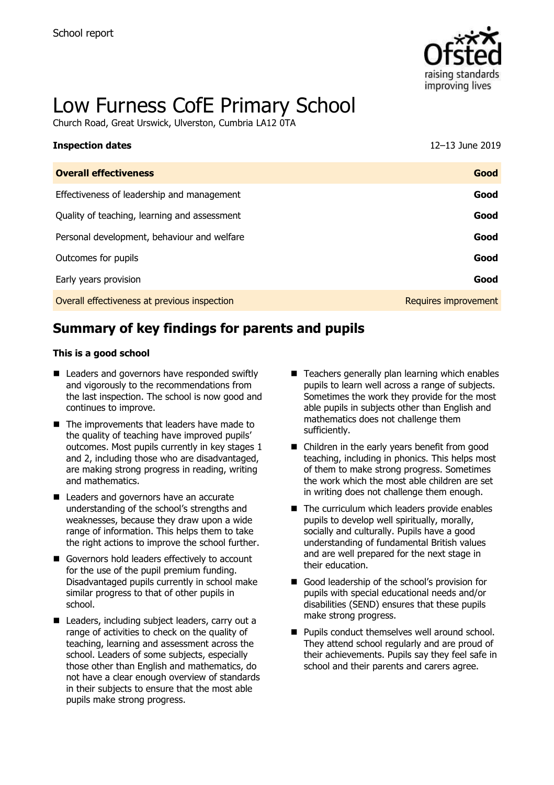

# Low Furness CofE Primary School

Church Road, Great Urswick, Ulverston, Cumbria LA12 0TA

| <b>Inspection dates</b>                      | 12-13 June 2019      |
|----------------------------------------------|----------------------|
| <b>Overall effectiveness</b>                 | Good                 |
| Effectiveness of leadership and management   | Good                 |
| Quality of teaching, learning and assessment | Good                 |
| Personal development, behaviour and welfare  | Good                 |
| Outcomes for pupils                          | Good                 |
| Early years provision                        | Good                 |
| Overall effectiveness at previous inspection | Requires improvement |

# **Summary of key findings for parents and pupils**

#### **This is a good school**

- Leaders and governors have responded swiftly and vigorously to the recommendations from the last inspection. The school is now good and continues to improve.
- $\blacksquare$  The improvements that leaders have made to the quality of teaching have improved pupils' outcomes. Most pupils currently in key stages 1 and 2, including those who are disadvantaged, are making strong progress in reading, writing and mathematics.
- Leaders and governors have an accurate understanding of the school's strengths and weaknesses, because they draw upon a wide range of information. This helps them to take the right actions to improve the school further.
- Governors hold leaders effectively to account for the use of the pupil premium funding. Disadvantaged pupils currently in school make similar progress to that of other pupils in school.
- Leaders, including subject leaders, carry out a range of activities to check on the quality of teaching, learning and assessment across the school. Leaders of some subjects, especially those other than English and mathematics, do not have a clear enough overview of standards in their subjects to ensure that the most able pupils make strong progress.
- $\blacksquare$  Teachers generally plan learning which enables pupils to learn well across a range of subjects. Sometimes the work they provide for the most able pupils in subjects other than English and mathematics does not challenge them sufficiently.
- Children in the early years benefit from good teaching, including in phonics. This helps most of them to make strong progress. Sometimes the work which the most able children are set in writing does not challenge them enough.
- The curriculum which leaders provide enables pupils to develop well spiritually, morally, socially and culturally. Pupils have a good understanding of fundamental British values and are well prepared for the next stage in their education.
- Good leadership of the school's provision for pupils with special educational needs and/or disabilities (SEND) ensures that these pupils make strong progress.
- **Pupils conduct themselves well around school.** They attend school regularly and are proud of their achievements. Pupils say they feel safe in school and their parents and carers agree.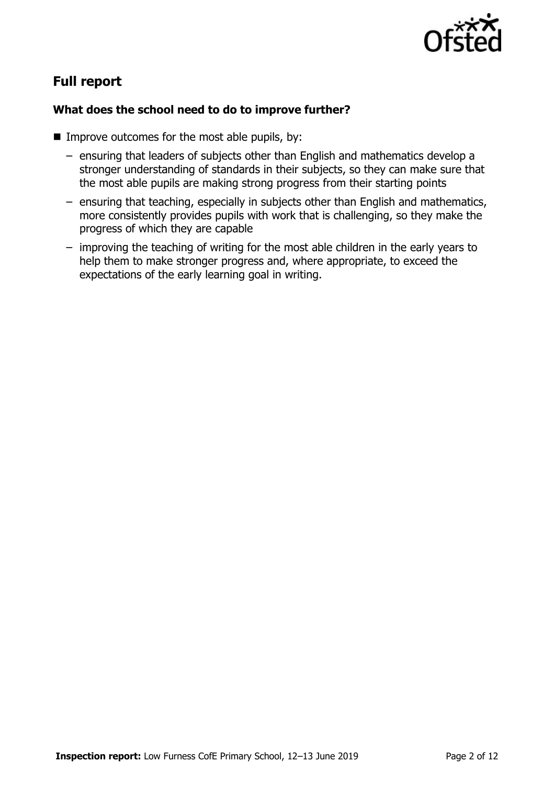

# **Full report**

#### **What does the school need to do to improve further?**

- $\blacksquare$  Improve outcomes for the most able pupils, by:
	- ensuring that leaders of subjects other than English and mathematics develop a stronger understanding of standards in their subjects, so they can make sure that the most able pupils are making strong progress from their starting points
	- ensuring that teaching, especially in subjects other than English and mathematics, more consistently provides pupils with work that is challenging, so they make the progress of which they are capable
	- improving the teaching of writing for the most able children in the early years to help them to make stronger progress and, where appropriate, to exceed the expectations of the early learning goal in writing.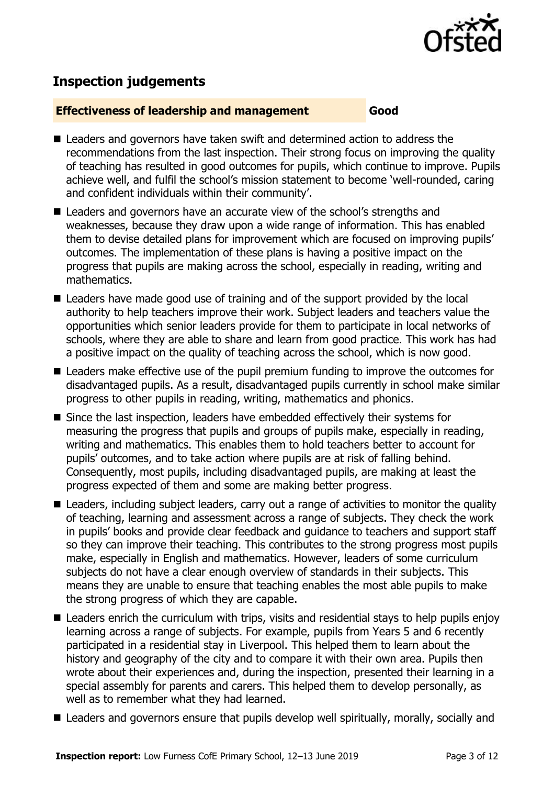

# **Inspection judgements**

#### **Effectiveness of leadership and management Good**

- Leaders and governors have taken swift and determined action to address the recommendations from the last inspection. Their strong focus on improving the quality of teaching has resulted in good outcomes for pupils, which continue to improve. Pupils achieve well, and fulfil the school's mission statement to become 'well-rounded, caring and confident individuals within their community'.
- Leaders and governors have an accurate view of the school's strengths and weaknesses, because they draw upon a wide range of information. This has enabled them to devise detailed plans for improvement which are focused on improving pupils' outcomes. The implementation of these plans is having a positive impact on the progress that pupils are making across the school, especially in reading, writing and mathematics.
- Leaders have made good use of training and of the support provided by the local authority to help teachers improve their work. Subject leaders and teachers value the opportunities which senior leaders provide for them to participate in local networks of schools, where they are able to share and learn from good practice. This work has had a positive impact on the quality of teaching across the school, which is now good.
- **E** Leaders make effective use of the pupil premium funding to improve the outcomes for disadvantaged pupils. As a result, disadvantaged pupils currently in school make similar progress to other pupils in reading, writing, mathematics and phonics.
- Since the last inspection, leaders have embedded effectively their systems for measuring the progress that pupils and groups of pupils make, especially in reading, writing and mathematics. This enables them to hold teachers better to account for pupils' outcomes, and to take action where pupils are at risk of falling behind. Consequently, most pupils, including disadvantaged pupils, are making at least the progress expected of them and some are making better progress.
- Leaders, including subject leaders, carry out a range of activities to monitor the quality of teaching, learning and assessment across a range of subjects. They check the work in pupils' books and provide clear feedback and guidance to teachers and support staff so they can improve their teaching. This contributes to the strong progress most pupils make, especially in English and mathematics. However, leaders of some curriculum subjects do not have a clear enough overview of standards in their subjects. This means they are unable to ensure that teaching enables the most able pupils to make the strong progress of which they are capable.
- Leaders enrich the curriculum with trips, visits and residential stays to help pupils enjoy learning across a range of subjects. For example, pupils from Years 5 and 6 recently participated in a residential stay in Liverpool. This helped them to learn about the history and geography of the city and to compare it with their own area. Pupils then wrote about their experiences and, during the inspection, presented their learning in a special assembly for parents and carers. This helped them to develop personally, as well as to remember what they had learned.
- Leaders and governors ensure that pupils develop well spiritually, morally, socially and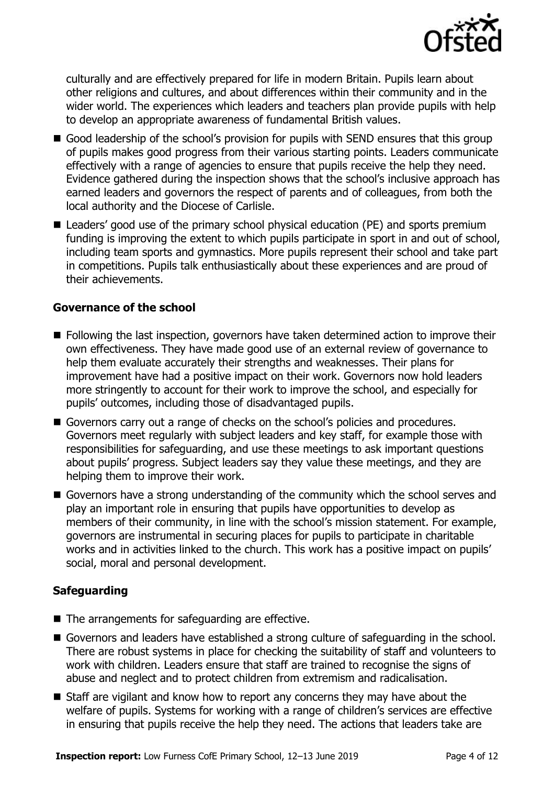

culturally and are effectively prepared for life in modern Britain. Pupils learn about other religions and cultures, and about differences within their community and in the wider world. The experiences which leaders and teachers plan provide pupils with help to develop an appropriate awareness of fundamental British values.

- Good leadership of the school's provision for pupils with SEND ensures that this group of pupils makes good progress from their various starting points. Leaders communicate effectively with a range of agencies to ensure that pupils receive the help they need. Evidence gathered during the inspection shows that the school's inclusive approach has earned leaders and governors the respect of parents and of colleagues, from both the local authority and the Diocese of Carlisle.
- Leaders' good use of the primary school physical education (PE) and sports premium funding is improving the extent to which pupils participate in sport in and out of school, including team sports and gymnastics. More pupils represent their school and take part in competitions. Pupils talk enthusiastically about these experiences and are proud of their achievements.

#### **Governance of the school**

- Following the last inspection, governors have taken determined action to improve their own effectiveness. They have made good use of an external review of governance to help them evaluate accurately their strengths and weaknesses. Their plans for improvement have had a positive impact on their work. Governors now hold leaders more stringently to account for their work to improve the school, and especially for pupils' outcomes, including those of disadvantaged pupils.
- Governors carry out a range of checks on the school's policies and procedures. Governors meet regularly with subject leaders and key staff, for example those with responsibilities for safeguarding, and use these meetings to ask important questions about pupils' progress. Subject leaders say they value these meetings, and they are helping them to improve their work.
- Governors have a strong understanding of the community which the school serves and play an important role in ensuring that pupils have opportunities to develop as members of their community, in line with the school's mission statement. For example, governors are instrumental in securing places for pupils to participate in charitable works and in activities linked to the church. This work has a positive impact on pupils' social, moral and personal development.

### **Safeguarding**

- The arrangements for safeguarding are effective.
- Governors and leaders have established a strong culture of safeguarding in the school. There are robust systems in place for checking the suitability of staff and volunteers to work with children. Leaders ensure that staff are trained to recognise the signs of abuse and neglect and to protect children from extremism and radicalisation.
- Staff are vigilant and know how to report any concerns they may have about the welfare of pupils. Systems for working with a range of children's services are effective in ensuring that pupils receive the help they need. The actions that leaders take are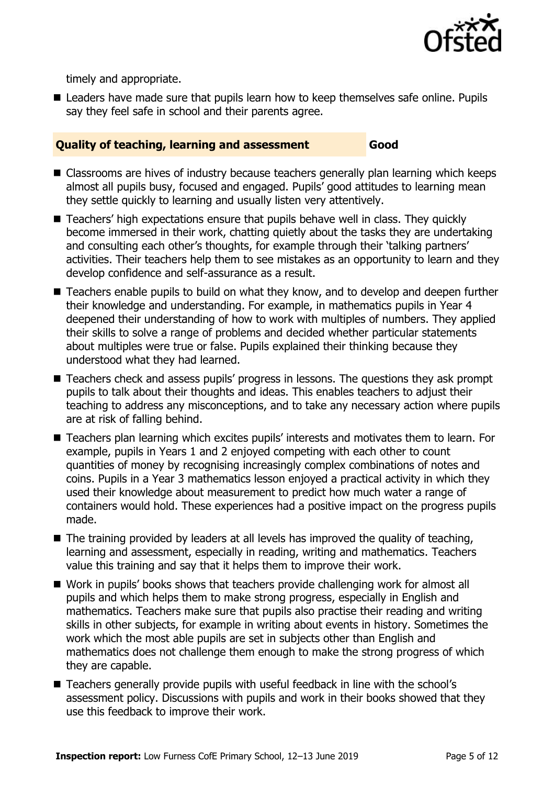

timely and appropriate.

■ Leaders have made sure that pupils learn how to keep themselves safe online. Pupils say they feel safe in school and their parents agree.

#### **Quality of teaching, learning and assessment Good**

- Classrooms are hives of industry because teachers generally plan learning which keeps almost all pupils busy, focused and engaged. Pupils' good attitudes to learning mean they settle quickly to learning and usually listen very attentively.
- Teachers' high expectations ensure that pupils behave well in class. They quickly become immersed in their work, chatting quietly about the tasks they are undertaking and consulting each other's thoughts, for example through their 'talking partners' activities. Their teachers help them to see mistakes as an opportunity to learn and they develop confidence and self-assurance as a result.
- Teachers enable pupils to build on what they know, and to develop and deepen further their knowledge and understanding. For example, in mathematics pupils in Year 4 deepened their understanding of how to work with multiples of numbers. They applied their skills to solve a range of problems and decided whether particular statements about multiples were true or false. Pupils explained their thinking because they understood what they had learned.
- Teachers check and assess pupils' progress in lessons. The questions they ask prompt pupils to talk about their thoughts and ideas. This enables teachers to adjust their teaching to address any misconceptions, and to take any necessary action where pupils are at risk of falling behind.
- Teachers plan learning which excites pupils' interests and motivates them to learn. For example, pupils in Years 1 and 2 enjoyed competing with each other to count quantities of money by recognising increasingly complex combinations of notes and coins. Pupils in a Year 3 mathematics lesson enjoyed a practical activity in which they used their knowledge about measurement to predict how much water a range of containers would hold. These experiences had a positive impact on the progress pupils made.
- $\blacksquare$  The training provided by leaders at all levels has improved the quality of teaching, learning and assessment, especially in reading, writing and mathematics. Teachers value this training and say that it helps them to improve their work.
- Work in pupils' books shows that teachers provide challenging work for almost all pupils and which helps them to make strong progress, especially in English and mathematics. Teachers make sure that pupils also practise their reading and writing skills in other subjects, for example in writing about events in history. Sometimes the work which the most able pupils are set in subjects other than English and mathematics does not challenge them enough to make the strong progress of which they are capable.
- Teachers generally provide pupils with useful feedback in line with the school's assessment policy. Discussions with pupils and work in their books showed that they use this feedback to improve their work.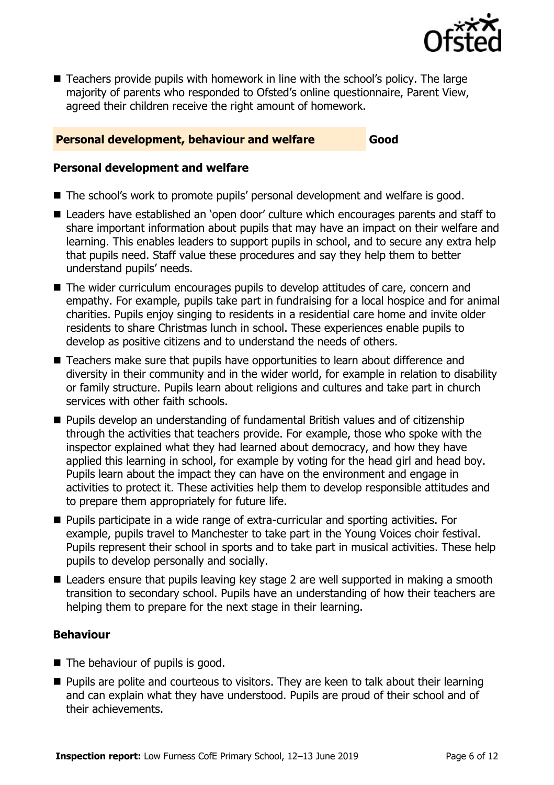

■ Teachers provide pupils with homework in line with the school's policy. The large majority of parents who responded to Ofsted's online questionnaire, Parent View, agreed their children receive the right amount of homework.

#### **Personal development, behaviour and welfare <b>Good**

#### **Personal development and welfare**

- The school's work to promote pupils' personal development and welfare is good.
- Leaders have established an 'open door' culture which encourages parents and staff to share important information about pupils that may have an impact on their welfare and learning. This enables leaders to support pupils in school, and to secure any extra help that pupils need. Staff value these procedures and say they help them to better understand pupils' needs.
- The wider curriculum encourages pupils to develop attitudes of care, concern and empathy. For example, pupils take part in fundraising for a local hospice and for animal charities. Pupils enjoy singing to residents in a residential care home and invite older residents to share Christmas lunch in school. These experiences enable pupils to develop as positive citizens and to understand the needs of others.
- Teachers make sure that pupils have opportunities to learn about difference and diversity in their community and in the wider world, for example in relation to disability or family structure. Pupils learn about religions and cultures and take part in church services with other faith schools.
- Pupils develop an understanding of fundamental British values and of citizenship through the activities that teachers provide. For example, those who spoke with the inspector explained what they had learned about democracy, and how they have applied this learning in school, for example by voting for the head girl and head boy. Pupils learn about the impact they can have on the environment and engage in activities to protect it. These activities help them to develop responsible attitudes and to prepare them appropriately for future life.
- Pupils participate in a wide range of extra-curricular and sporting activities. For example, pupils travel to Manchester to take part in the Young Voices choir festival. Pupils represent their school in sports and to take part in musical activities. These help pupils to develop personally and socially.
- Leaders ensure that pupils leaving key stage 2 are well supported in making a smooth transition to secondary school. Pupils have an understanding of how their teachers are helping them to prepare for the next stage in their learning.

### **Behaviour**

- $\blacksquare$  The behaviour of pupils is good.
- **Pupils are polite and courteous to visitors. They are keen to talk about their learning** and can explain what they have understood. Pupils are proud of their school and of their achievements.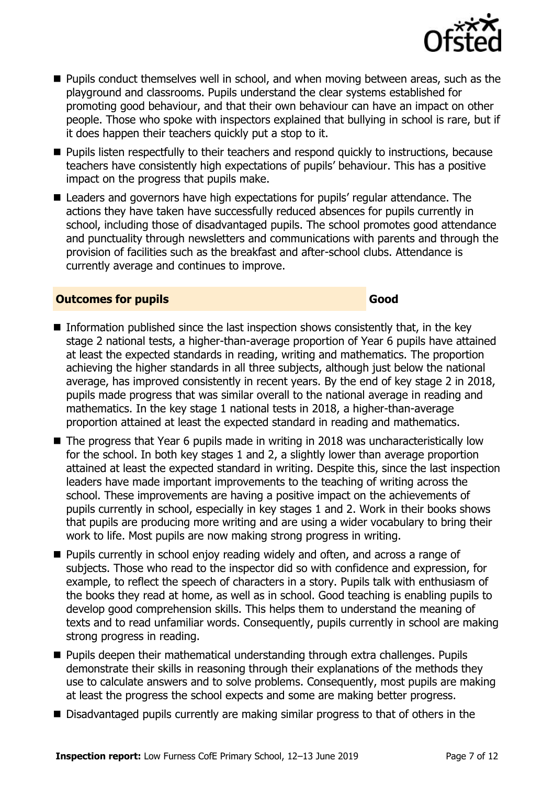

- **Pupils conduct themselves well in school, and when moving between areas, such as the** playground and classrooms. Pupils understand the clear systems established for promoting good behaviour, and that their own behaviour can have an impact on other people. Those who spoke with inspectors explained that bullying in school is rare, but if it does happen their teachers quickly put a stop to it.
- **Pupils listen respectfully to their teachers and respond quickly to instructions, because** teachers have consistently high expectations of pupils' behaviour. This has a positive impact on the progress that pupils make.
- Leaders and governors have high expectations for pupils' regular attendance. The actions they have taken have successfully reduced absences for pupils currently in school, including those of disadvantaged pupils. The school promotes good attendance and punctuality through newsletters and communications with parents and through the provision of facilities such as the breakfast and after-school clubs. Attendance is currently average and continues to improve.

#### **Outcomes for pupils Good Good**

- $\blacksquare$  Information published since the last inspection shows consistently that, in the key stage 2 national tests, a higher-than-average proportion of Year 6 pupils have attained at least the expected standards in reading, writing and mathematics. The proportion achieving the higher standards in all three subjects, although just below the national average, has improved consistently in recent years. By the end of key stage 2 in 2018, pupils made progress that was similar overall to the national average in reading and mathematics. In the key stage 1 national tests in 2018, a higher-than-average proportion attained at least the expected standard in reading and mathematics.
- The progress that Year 6 pupils made in writing in 2018 was uncharacteristically low for the school. In both key stages 1 and 2, a slightly lower than average proportion attained at least the expected standard in writing. Despite this, since the last inspection leaders have made important improvements to the teaching of writing across the school. These improvements are having a positive impact on the achievements of pupils currently in school, especially in key stages 1 and 2. Work in their books shows that pupils are producing more writing and are using a wider vocabulary to bring their work to life. Most pupils are now making strong progress in writing.
- **Pupils currently in school enjoy reading widely and often, and across a range of** subjects. Those who read to the inspector did so with confidence and expression, for example, to reflect the speech of characters in a story. Pupils talk with enthusiasm of the books they read at home, as well as in school. Good teaching is enabling pupils to develop good comprehension skills. This helps them to understand the meaning of texts and to read unfamiliar words. Consequently, pupils currently in school are making strong progress in reading.
- Pupils deepen their mathematical understanding through extra challenges. Pupils demonstrate their skills in reasoning through their explanations of the methods they use to calculate answers and to solve problems. Consequently, most pupils are making at least the progress the school expects and some are making better progress.
- Disadvantaged pupils currently are making similar progress to that of others in the

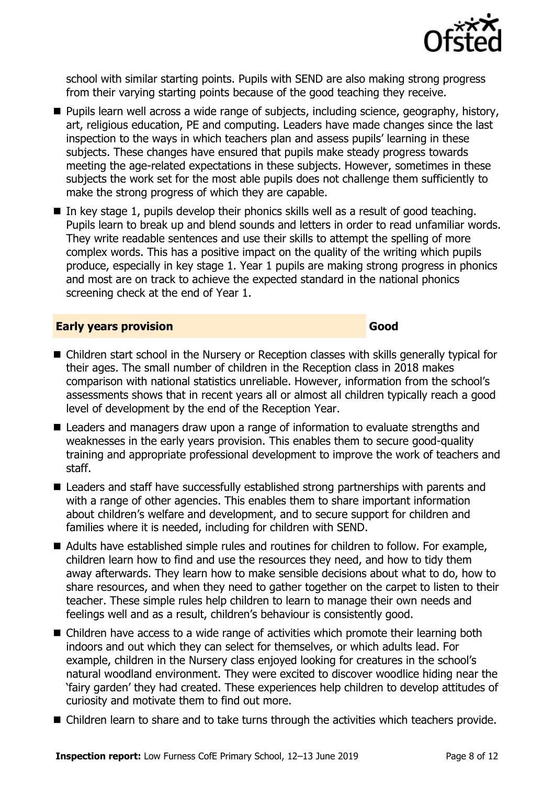

school with similar starting points. Pupils with SEND are also making strong progress from their varying starting points because of the good teaching they receive.

- **Pupils learn well across a wide range of subjects, including science, geography, history,** art, religious education, PE and computing. Leaders have made changes since the last inspection to the ways in which teachers plan and assess pupils' learning in these subjects. These changes have ensured that pupils make steady progress towards meeting the age-related expectations in these subjects. However, sometimes in these subjects the work set for the most able pupils does not challenge them sufficiently to make the strong progress of which they are capable.
- In key stage 1, pupils develop their phonics skills well as a result of good teaching. Pupils learn to break up and blend sounds and letters in order to read unfamiliar words. They write readable sentences and use their skills to attempt the spelling of more complex words. This has a positive impact on the quality of the writing which pupils produce, especially in key stage 1. Year 1 pupils are making strong progress in phonics and most are on track to achieve the expected standard in the national phonics screening check at the end of Year 1.

#### **Early years provision Good Good**

- Children start school in the Nursery or Reception classes with skills generally typical for their ages. The small number of children in the Reception class in 2018 makes comparison with national statistics unreliable. However, information from the school's assessments shows that in recent years all or almost all children typically reach a good level of development by the end of the Reception Year.
- Leaders and managers draw upon a range of information to evaluate strengths and weaknesses in the early years provision. This enables them to secure good-quality training and appropriate professional development to improve the work of teachers and staff.
- Leaders and staff have successfully established strong partnerships with parents and with a range of other agencies. This enables them to share important information about children's welfare and development, and to secure support for children and families where it is needed, including for children with SEND.
- Adults have established simple rules and routines for children to follow. For example, children learn how to find and use the resources they need, and how to tidy them away afterwards. They learn how to make sensible decisions about what to do, how to share resources, and when they need to gather together on the carpet to listen to their teacher. These simple rules help children to learn to manage their own needs and feelings well and as a result, children's behaviour is consistently good.
- Children have access to a wide range of activities which promote their learning both indoors and out which they can select for themselves, or which adults lead. For example, children in the Nursery class enjoyed looking for creatures in the school's natural woodland environment. They were excited to discover woodlice hiding near the 'fairy garden' they had created. These experiences help children to develop attitudes of curiosity and motivate them to find out more.
- Children learn to share and to take turns through the activities which teachers provide.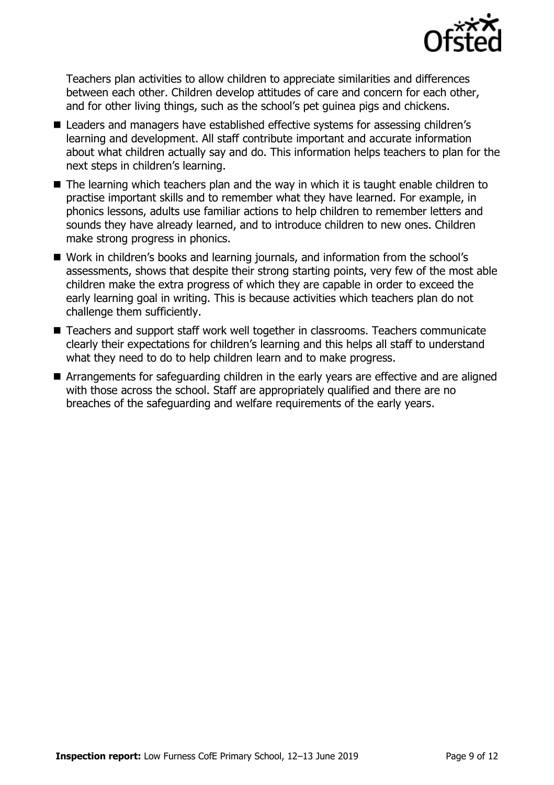

Teachers plan activities to allow children to appreciate similarities and differences between each other. Children develop attitudes of care and concern for each other, and for other living things, such as the school's pet guinea pigs and chickens.

- Leaders and managers have established effective systems for assessing children's learning and development. All staff contribute important and accurate information about what children actually say and do. This information helps teachers to plan for the next steps in children's learning.
- The learning which teachers plan and the way in which it is taught enable children to practise important skills and to remember what they have learned. For example, in phonics lessons, adults use familiar actions to help children to remember letters and sounds they have already learned, and to introduce children to new ones. Children make strong progress in phonics.
- Work in children's books and learning journals, and information from the school's assessments, shows that despite their strong starting points, very few of the most able children make the extra progress of which they are capable in order to exceed the early learning goal in writing. This is because activities which teachers plan do not challenge them sufficiently.
- Teachers and support staff work well together in classrooms. Teachers communicate clearly their expectations for children's learning and this helps all staff to understand what they need to do to help children learn and to make progress.
- **E** Arrangements for safeguarding children in the early years are effective and are aligned with those across the school. Staff are appropriately qualified and there are no breaches of the safeguarding and welfare requirements of the early years.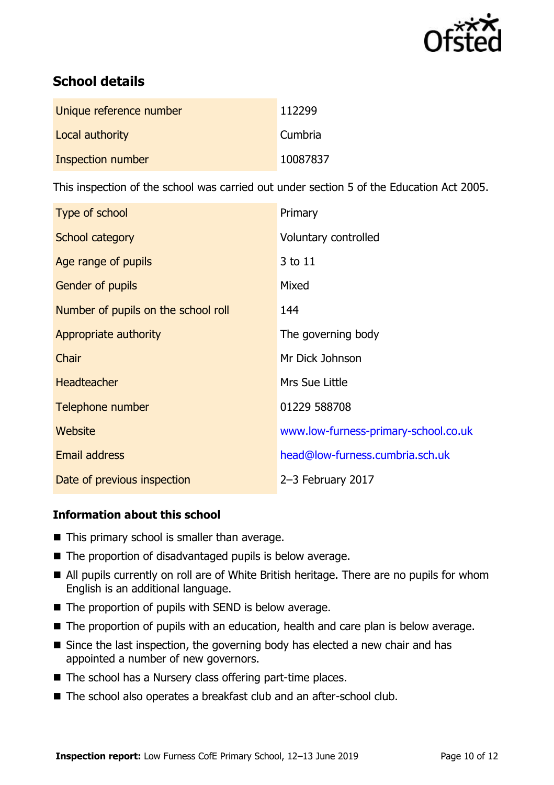

# **School details**

| Unique reference number | 112299   |
|-------------------------|----------|
| Local authority         | Cumbria  |
| Inspection number       | 10087837 |

This inspection of the school was carried out under section 5 of the Education Act 2005.

| Type of school                      | Primary                              |
|-------------------------------------|--------------------------------------|
| School category                     | Voluntary controlled                 |
| Age range of pupils                 | 3 to 11                              |
| Gender of pupils                    | Mixed                                |
| Number of pupils on the school roll | 144                                  |
| Appropriate authority               | The governing body                   |
| <b>Chair</b>                        | Mr Dick Johnson                      |
| <b>Headteacher</b>                  | Mrs Sue Little                       |
| Telephone number                    | 01229 588708                         |
| Website                             | www.low-furness-primary-school.co.uk |
| <b>Email address</b>                | head@low-furness.cumbria.sch.uk      |
| Date of previous inspection         | 2-3 February 2017                    |

### **Information about this school**

- This primary school is smaller than average.
- The proportion of disadvantaged pupils is below average.
- All pupils currently on roll are of White British heritage. There are no pupils for whom English is an additional language.
- The proportion of pupils with SEND is below average.
- The proportion of pupils with an education, health and care plan is below average.
- Since the last inspection, the governing body has elected a new chair and has appointed a number of new governors.
- $\blacksquare$  The school has a Nursery class offering part-time places.
- The school also operates a breakfast club and an after-school club.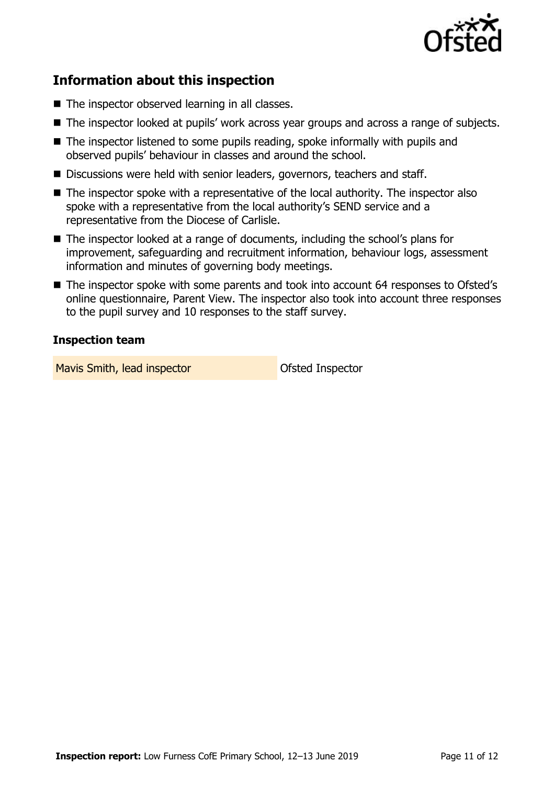

## **Information about this inspection**

- The inspector observed learning in all classes.
- The inspector looked at pupils' work across year groups and across a range of subjects.
- $\blacksquare$  The inspector listened to some pupils reading, spoke informally with pupils and observed pupils' behaviour in classes and around the school.
- Discussions were held with senior leaders, governors, teachers and staff.
- The inspector spoke with a representative of the local authority. The inspector also spoke with a representative from the local authority's SEND service and a representative from the Diocese of Carlisle.
- The inspector looked at a range of documents, including the school's plans for improvement, safeguarding and recruitment information, behaviour logs, assessment information and minutes of governing body meetings.
- The inspector spoke with some parents and took into account 64 responses to Ofsted's online questionnaire, Parent View. The inspector also took into account three responses to the pupil survey and 10 responses to the staff survey.

#### **Inspection team**

Mavis Smith, lead inspector and offsted Inspector